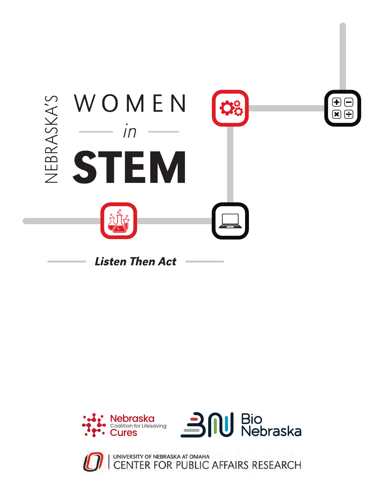



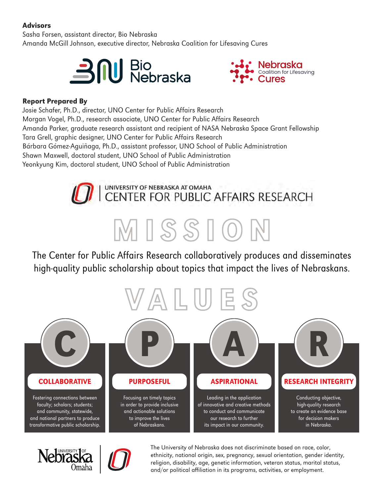#### Advisors

Sasha Forsen, assistant director, Bio Nebraska Amanda McGill Johnson, executive director, Nebraska Coalition for Lifesaving Cures





# Report Prepared By<br>**Report Prepared** By

Josie Schafer, Ph.D., director, UNO Center for Public Affairs Research Morgan Vogel, Ph.D., research associate, UNO Center for Public Affairs Research Amanda Parker, graduate research assistant and recipient of NASA Nebraska Space Grant Fellowship Tara Grell, graphic designer, UNO Center for Public Affairs Research Bárbara Gómez-Aguiñaga, Ph.D., assistant professor, UNO School of Public Administration Shawn Maxwell, doctoral student, UNO School of Public Administration Yeonkyung Kim, doctoral student, UNO School of Public Administration



### The Center for Public Affairs Research collaboratively produces and disseminates high-quality public scholarship about topics that impact the lives of Nebraskans.

MISSION **HEX:** 474c55







The University of Nebraska does not discriminate based on race, color, ethnicity, national origin, sex, pregnancy, sexual orientation, gender identity, religion, disability, age, genetic information, veteran status, marital status, and/or political affiliation in its programs, activities, or employment.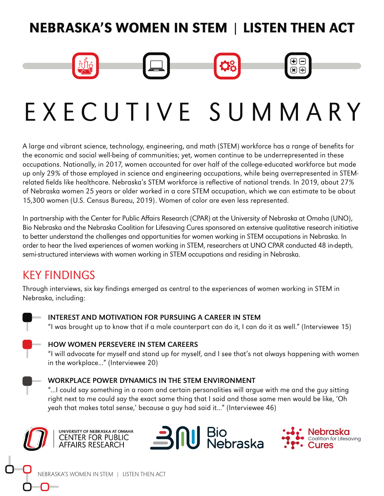# NEBRASKA'S WOMEN IN STEM | LISTEN THEN ACT

# EXECUTIVE SUMMARY

A large and vibrant science, technology, engineering, and math (STEM) workforce has a range of benefits for the economic and social well-being of communities; yet, women continue to be underrepresented in these occupations. Nationally, in 2017, women accounted for over half of the college-educated workforce but made up only 29% of those employed in science and engineering occupations, while being overrepresented in STEMrelated fields like healthcare. Nebraska's STEM workforce is reflective of national trends. In 2019, about 27% of Nebraska women 25 years or older worked in a core STEM occupation, which we can estimate to be about 15,300 women (U.S. Census Bureau, 2019). Women of color are even less represented.

In partnership with the Center for Public Affairs Research (CPAR) at the University of Nebraska at Omaha (UNO), Bio Nebraska and the Nebraska Coalition for Lifesaving Cures sponsored an extensive qualitative research initiative to better understand the challenges and opportunities for women working in STEM occupations in Nebraska. In order to hear the lived experiences of women working in STEM, researchers at UNO CPAR conducted 48 in-depth, semi-structured interviews with women working in STEM occupations and residing in Nebraska.

## KEY FINDINGS

Through interviews, six key findings emerged as central to the experiences of women working in STEM in Nebraska, including:



#### INTEREST AND MOTIVATION FOR PURSUING A CAREER IN STEM

"I was brought up to know that if a male counterpart can do it, I can do it as well." (Interviewee 15)



#### HOW WOMEN PERSEVERE IN STEM CAREERS

"I will advocate for myself and stand up for myself, and I see that's not always happening with women in the workplace..." (Interviewee 20)

#### WORKPLACE POWER DYNAMICS IN THE STEM ENVIRONMENT

"...I could say something in a room and certain personalities will argue with me and the guy sitting right next to me could say the exact same thing that I said and those same men would be like, 'Oh yeah that makes total sense,' because a guy had said it..." (Interviewee 46)







 $\mathbf{R} \in \mathbb{R}$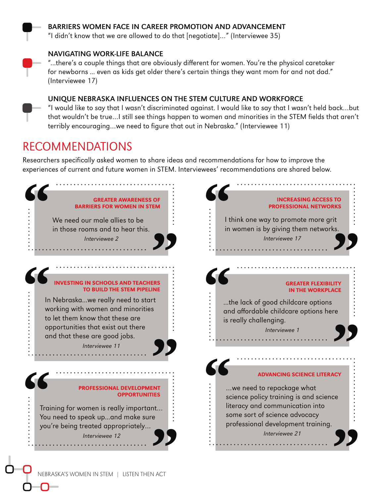

#### BARRIERS WOMEN FACE IN CAREER PROMOTION AND ADVANCEMENT

"I didn't know that we are allowed to do that [negotiate]…" (Interviewee 35)

#### NAVIGATING WORK-LIFE BALANCE

"...there's a couple things that are obviously different for women. You're the physical caretaker for newborns ... even as kids get older there's certain things they want mom for and not dad." (Interviewee 17)

#### UNIQUE NEBRASKA INFLUENCES ON THE STEM CULTURE AND WORKFORCE

"I would like to say that I wasn't discriminated against. I would like to say that I wasn't held back…but that wouldn't be true…I still see things happen to women and minorities in the STEM fields that aren't terribly encouraging…we need to figure that out in Nebraska." (Interviewee 11)

## RECOMMENDATIONS

Researchers specifically asked women to share ideas and recommendations for how to improve the experiences of current and future women in STEM. Interviewees' recommendations are shared below.

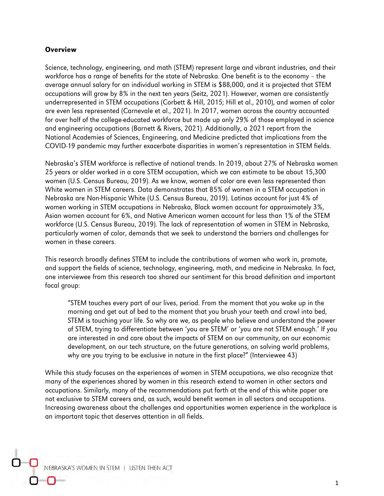#### **Overview**

Science, technology, engineering, and math (STEM) represent large and vibrant industries, and their workforce has a range of benefits for the state of Nebraska. One benefit is to the economy – the average annual salary for an individual working in STEM is \$88,000, and it is projected that STEM occupations will grow by 8% in the next ten years (Seitz, 2021). However, women are consistently underrepresented in STEM occupations (Corbett & Hill, 2015; Hill et al., 2010), and women of color are even less represented (Carnevale et al., 2021). In 2017, women across the country accounted for over half of the college-educated workforce but made up only 29% of those employed in science and engineering occupations (Barnett & Rivers, 2021). Additionally, a 2021 report from the National Academies of Sciences, Engineering, and Medicine predicted that implications from the COVID-19 pandemic may further exacerbate disparities in women's representation in STEM fields.

Nebraska's STEM workforce is reflective of national trends. In 2019, about 27% of Nebraska women 25 years or older worked in a core STEM occupation, which we can estimate to be about 15,300 women (U.S. Census Bureau, 2019). As we know, women of color are even less represented than White women in STEM careers. Data demonstrates that 85% of women in a STEM occupation in Nebraska are Non-Hispanic White (U.S. Census Bureau, 2019). Latinas account for just 4% of women working in STEM occupations in Nebraska, Black women account for approximately 3%, Asian women account for 6%, and Native American women account for less than 1% of the STEM workforce (U.S. Census Bureau, 2019). The lack of representation of women in STEM in Nebraska, particularly women of color, demands that we seek to understand the barriers and challenges for women in these careers.

This research broadly defines STEM to include the contributions of women who work in, promote, and support the fields of science, technology, engineering, math, and medicine in Nebraska. In fact, one interviewee from this research too shared our sentiment for this broad definition and important focal group:

"STEM touches every part of our lives, period. From the moment that you wake up in the morning and get out of bed to the moment that you brush your teeth and crawl into bed, STEM is touching your life. So why are we, as people who believe and understand the power of STEM, trying to differentiate between 'you are STEM' or 'you are not STEM enough.' If you are interested in and care about the impacts of STEM on our community, on our economic development, on our tech structure, on the future generations, on solving world problems, why are you trying to be exclusive in nature in the first place?" (Interviewee 43)

While this study focuses on the experiences of women in STEM occupations, we also recognize that many of the experiences shared by women in this research extend to women in other sectors and occupations. Similarly, many of the recommendations put forth at the end of this white paper are not exclusive to STEM careers and, as such, would benefit women in all sectors and occupations. Increasing awareness about the challenges and opportunities women experience in the workplace is an important topic that deserves attention in all fields.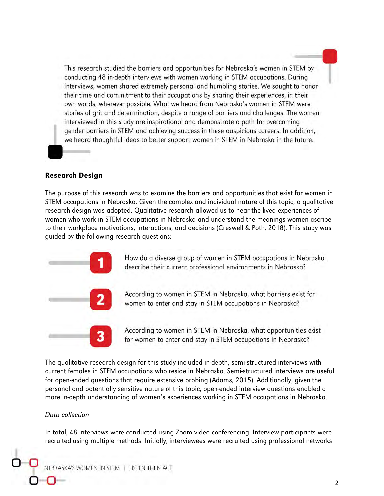This research studied the barriers and opportunities for Nebraska's women in STEM by conducting 48 in-depth interviews with women working in STEM occupations. During interviews, women shared extremely personal and humbling stories. We sought to honor their time and commitment to their occupations by sharing their experiences, in their own words, wherever possible. What we heard from Nebraska's women in STEM were stories of grit and determination, despite a range of barriers and challenges. The women interviewed in this study are inspirational and demonstrate a path for overcoming gender barriers in STEM and achieving success in these auspicious careers. In addition, we heard thoughtful ideas to better support women in STEM in Nebraska in the future.

#### Research Design

The purpose of this research was to examine the barriers and opportunities that exist for women in STEM occupations in Nebraska. Given the complex and individual nature of this topic, a qualitative research design was adopted. Qualitative research allowed us to hear the lived experiences of women who work in STEM occupations in Nebraska and understand the meanings women ascribe to their workplace motivations, interactions, and decisions (Creswell & Poth, 2018). This study was guided by the following research questions:



How do a diverse group of women in STEM occupations in Nebraska describe their current professional environments in Nebraska?

According to women in STEM in Nebraska, what barriers exist for women to enter and stay in STEM occupations in Nebraska?

According to women in STEM in Nebraska, what opportunities exist for women to enter and stay in STEM occupations in Nebraska?

The qualitative research design for this study included in-depth, semi-structured interviews with current females in STEM occupations who reside in Nebraska. Semi-structured interviews are useful for open-ended questions that require extensive probing (Adams, 2015). Additionally, given the personal and potentially sensitive nature of this topic, open-ended interview questions enabled a more in-depth understanding of women's experiences working in STEM occupations in Nebraska.

#### Data collection

In total, 48 interviews were conducted using Zoom video conferencing. Interview participants were recruited using multiple methods. Initially, interviewees were recruited using professional networks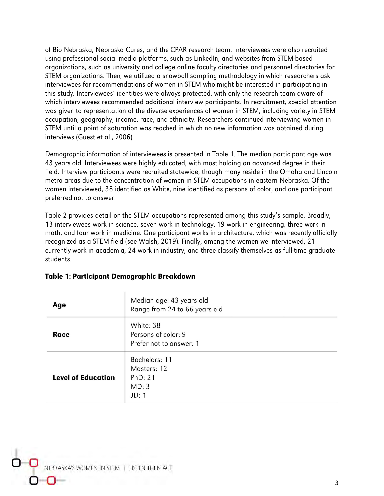of Bio Nebraska, Nebraska Cures, and the CPAR research team. Interviewees were also recruited using professional social media platforms, such as LinkedIn, and websites from STEM-based organizations, such as university and college online faculty directories and personnel directories for STEM organizations. Then, we utilized a snowball sampling methodology in which researchers ask interviewees for recommendations of women in STEM who might be interested in participating in this study. Interviewees' identities were always protected, with only the research team aware of which interviewees recommended additional interview participants. In recruitment, special attention was given to representation of the diverse experiences of women in STEM, including variety in STEM occupation, geography, income, race, and ethnicity. Researchers continued interviewing women in STEM until a point of saturation was reached in which no new information was obtained during interviews (Guest et al., 2006).

Demographic information of interviewees is presented in Table 1. The median participant age was 43 years old. Interviewees were highly educated, with most holding an advanced degree in their field. Interview participants were recruited statewide, though many reside in the Omaha and Lincoln metro areas due to the concentration of women in STEM occupations in eastern Nebraska. Of the women interviewed, 38 identified as White, nine identified as persons of color, and one participant preferred not to answer.

Table 2 provides detail on the STEM occupations represented among this study's sample. Broadly, 13 interviewees work in science, seven work in technology, 19 work in engineering, three work in math, and four work in medicine. One participant works in architecture, which was recently officially recognized as a STEM field (see Walsh, 2019). Finally, among the women we interviewed, 21 currently work in academia, 24 work in industry, and three classify themselves as full-time graduate students.

| Age                       | Median age: 43 years old<br>Range from 24 to 66 years old   |  |  |
|---------------------------|-------------------------------------------------------------|--|--|
| Race                      | White: 38<br>Persons of color: 9<br>Prefer not to answer: 1 |  |  |
| <b>Level of Education</b> | Bachelors: 11<br>Masters: 12<br>PhD: 21<br>MD: 3<br>JD: 1   |  |  |

#### Table 1: Participant Demographic Breakdown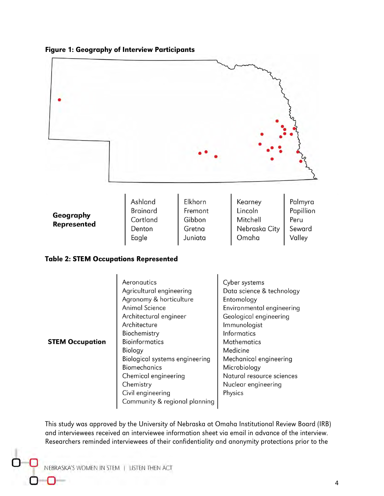



#### Table 2: STEM Occupations Represented

| <b>STEM Occupation</b> | Aeronautics<br>Agricultural engineering<br>Agronomy & horticulture<br><b>Animal Science</b><br>Architectural engineer<br>Architecture<br>Biochemistry<br><b>Bioinformatics</b><br>Biology<br>Biological systems engineering<br><b>Biomechanics</b><br>Chemical engineering<br>Chemistry<br>Civil engineering | Cyber systems<br>Data science & technology<br>Entomology<br>Environmental engineering<br>Geological engineering<br>Immunologist<br><b>Informatics</b><br><b>Mathematics</b><br>Medicine<br>Mechanical engineering<br>Microbiology<br>Natural resource sciences<br>Nuclear engineering<br>Physics |
|------------------------|--------------------------------------------------------------------------------------------------------------------------------------------------------------------------------------------------------------------------------------------------------------------------------------------------------------|--------------------------------------------------------------------------------------------------------------------------------------------------------------------------------------------------------------------------------------------------------------------------------------------------|
|                        | Community & regional planning                                                                                                                                                                                                                                                                                |                                                                                                                                                                                                                                                                                                  |

This study was approved by the University of Nebraska at Omaha Institutional Review Board (IRB) and interviewees received an interviewee information sheet via email in advance of the interview. Researchers reminded interviewees of their confidentiality and anonymity protections prior to the

NEBRASKA'S WOMEN IN STEM | LISTEN THEN ACT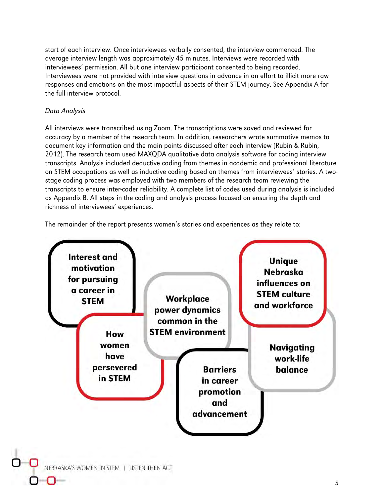start of each interview. Once interviewees verbally consented, the interview commenced. The average interview length was approximately 45 minutes. Interviews were recorded with interviewees' permission. All but one interview participant consented to being recorded. Interviewees were not provided with interview questions in advance in an effort to illicit more raw responses and emotions on the most impactful aspects of their STEM journey. See Appendix A for the full interview protocol.

#### Data Analysis

All interviews were transcribed using Zoom. The transcriptions were saved and reviewed for accuracy by a member of the research team. In addition, researchers wrote summative memos to document key information and the main points discussed after each interview (Rubin & Rubin, 2012). The research team used MAXQDA qualitative data analysis software for coding interview transcripts. Analysis included deductive coding from themes in academic and professional literature on STEM occupations as well as inductive coding based on themes from interviewees' stories. A twostage coding process was employed with two members of the research team reviewing the transcripts to ensure inter-coder reliability. A complete list of codes used during analysis is included as Appendix B. All steps in the coding and analysis process focused on ensuring the depth and richness of interviewees' experiences.

The remainder of the report presents women's stories and experiences as they relate to:

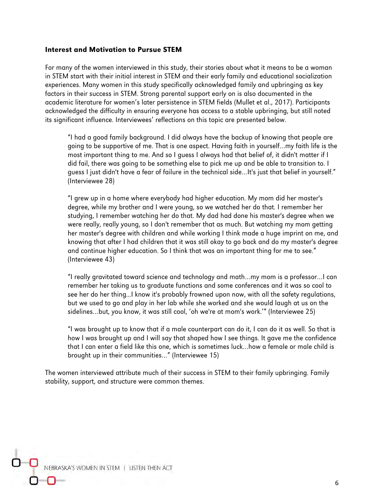#### Interest and Motivation to Pursue STEM

For many of the women interviewed in this study, their stories about what it means to be a woman in STEM start with their initial interest in STEM and their early family and educational socialization experiences. Many women in this study specifically acknowledged family and upbringing as key factors in their success in STEM. Strong parental support early on is also documented in the academic literature for women's later persistence in STEM fields (Mullet et al., 2017). Participants acknowledged the difficulty in ensuring everyone has access to a stable upbringing, but still noted its significant influence. Interviewees' reflections on this topic are presented below.

"I had a good family background. I did always have the backup of knowing that people are going to be supportive of me. That is one aspect. Having faith in yourself…my faith life is the most important thing to me. And so I guess I always had that belief of, it didn't matter if I did fail, there was going to be something else to pick me up and be able to transition to. I guess I just didn't have a fear of failure in the technical side…It's just that belief in yourself." (Interviewee 28)

"I grew up in a home where everybody had higher education. My mom did her master's degree, while my brother and I were young, so we watched her do that. I remember her studying, I remember watching her do that. My dad had done his master's degree when we were really, really young, so I don't remember that as much. But watching my mom getting her master's degree with children and while working I think made a huge imprint on me, and knowing that after I had children that it was still okay to go back and do my master's degree and continue higher education. So I think that was an important thing for me to see." (Interviewee 43)

"I really gravitated toward science and technology and math…my mom is a professor…I can remember her taking us to graduate functions and some conferences and it was so cool to see her do her thing...I know it's probably frowned upon now, with all the safety regulations, but we used to go and play in her lab while she worked and she would laugh at us on the sidelines…but, you know, it was still cool, 'oh we're at mom's work.'" (Interviewee 25)

"I was brought up to know that if a male counterpart can do it, I can do it as well. So that is how I was brought up and I will say that shaped how I see things. It gave me the confidence that I can enter a field like this one, which is sometimes luck…how a female or male child is brought up in their communities…" (Interviewee 15)

The women interviewed attribute much of their success in STEM to their family upbringing. Family stability, support, and structure were common themes.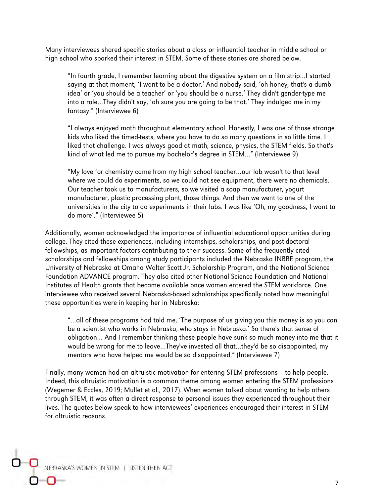Many interviewees shared specific stories about a class or influential teacher in middle school or high school who sparked their interest in STEM. Some of these stories are shared below.

"In fourth grade, I remember learning about the digestive system on a film strip…I started saying at that moment, 'I want to be a doctor.' And nobody said, 'oh honey, that's a dumb idea' or 'you should be a teacher' or 'you should be a nurse.' They didn't gender-type me into a role…They didn't say, 'oh sure you are going to be that.' They indulged me in my fantasy." (Interviewee 6)

"I always enjoyed math throughout elementary school. Honestly, I was one of those strange kids who liked the timed-tests, where you have to do so many questions in so little time. I liked that challenge. I was always good at math, science, physics, the STEM fields. So that's kind of what led me to pursue my bachelor's degree in STEM…" (Interviewee 9)

"My love for chemistry came from my high school teacher…our lab wasn't to that level where we could do experiments, so we could not see equipment, there were no chemicals. Our teacher took us to manufacturers, so we visited a soap manufacturer, yogurt manufacturer, plastic processing plant, those things. And then we went to one of the universities in the city to do experiments in their labs. I was like 'Oh, my goodness, I want to do more'." (Interviewee 5)

Additionally, women acknowledged the importance of influential educational opportunities during college. They cited these experiences, including internships, scholarships, and post-doctoral fellowships, as important factors contributing to their success. Some of the frequently cited scholarships and fellowships among study participants included the Nebraska INBRE program, the University of Nebraska at Omaha Walter Scott Jr. Scholarship Program, and the National Science Foundation ADVANCE program. They also cited other National Science Foundation and National Institutes of Health grants that became available once women entered the STEM workforce. One interviewee who received several Nebraska-based scholarships specifically noted how meaningful these opportunities were in keeping her in Nebraska:

"…all of these programs had told me, 'The purpose of us giving you this money is so you can be a scientist who works in Nebraska, who stays in Nebraska.' So there's that sense of obligation… And I remember thinking these people have sunk so much money into me that it would be wrong for me to leave…They've invested all that…they'd be so disappointed, my mentors who have helped me would be so disappointed." (Interviewee 7)

Finally, many women had an altruistic motivation for entering STEM professions – to help people. Indeed, this altruistic motivation is a common theme among women entering the STEM professions (Wegemer & Eccles, 2019; Mullet et al., 2017). When women talked about wanting to help others through STEM, it was often a direct response to personal issues they experienced throughout their lives. The quotes below speak to how interviewees' experiences encouraged their interest in STEM for altruistic reasons.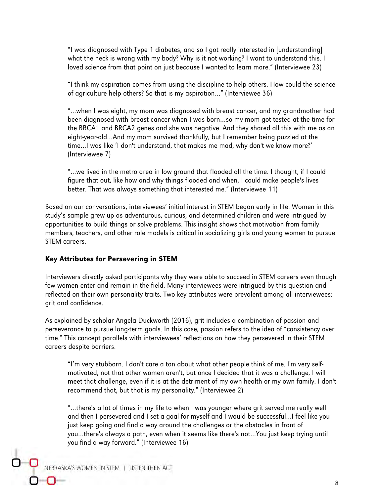"I was diagnosed with Type 1 diabetes, and so I got really interested in [understanding] what the heck is wrong with my body? Why is it not working? I want to understand this. I loved science from that point on just because I wanted to learn more." (Interviewee 23)

"I think my aspiration comes from using the discipline to help others. How could the science of agriculture help others? So that is my aspiration…" (Interviewee 36)

"…when I was eight, my mom was diagnosed with breast cancer, and my grandmother had been diagnosed with breast cancer when I was born…so my mom got tested at the time for the BRCA1 and BRCA2 genes and she was negative. And they shared all this with me as an eight-year-old…And my mom survived thankfully, but I remember being puzzled at the time…I was like 'I don't understand, that makes me mad, why don't we know more?' (Interviewee 7)

"…we lived in the metro area in low ground that flooded all the time. I thought, if I could figure that out, like how and why things flooded and when, I could make people's lives better. That was always something that interested me." (Interviewee 11)

Based on our conversations, interviewees' initial interest in STEM began early in life. Women in this study's sample grew up as adventurous, curious, and determined children and were intrigued by opportunities to build things or solve problems. This insight shows that motivation from family members, teachers, and other role models is critical in socializing girls and young women to pursue STEM careers.

#### Key Attributes for Persevering in STEM

Interviewers directly asked participants why they were able to succeed in STEM careers even though few women enter and remain in the field. Many interviewees were intrigued by this question and reflected on their own personality traits. Two key attributes were prevalent among all interviewees: grit and confidence.

As explained by scholar Angela Duckworth (2016), grit includes a combination of passion and perseverance to pursue long-term goals. In this case, passion refers to the idea of "consistency over time." This concept parallels with interviewees' reflections on how they persevered in their STEM careers despite barriers.

"I'm very stubborn. I don't care a ton about what other people think of me. I'm very selfmotivated, not that other women aren't, but once I decided that it was a challenge, I will meet that challenge, even if it is at the detriment of my own health or my own family. I don't recommend that, but that is my personality." (Interviewee 2)

"…there's a lot of times in my life to when I was younger where grit served me really well and then I persevered and I set a goal for myself and I would be successful…I feel like you just keep going and find a way around the challenges or the obstacles in front of you…there's always a path, even when it seems like there's not…You just keep trying until you find a way forward." (Interviewee 16)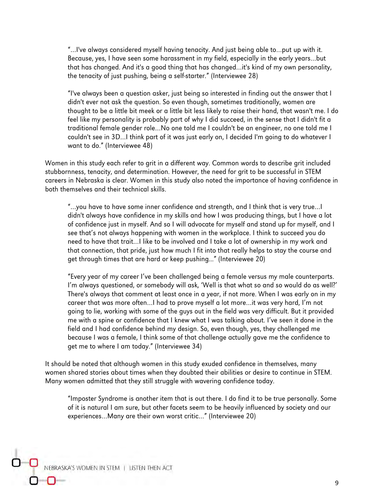"…I've always considered myself having tenacity. And just being able to…put up with it. Because, yes, I have seen some harassment in my field, especially in the early years…but that has changed. And it's a good thing that has changed…it's kind of my own personality, the tenacity of just pushing, being a self-starter." (Interviewee 28)

"I've always been a question asker, just being so interested in finding out the answer that I didn't ever not ask the question. So even though, sometimes traditionally, women are thought to be a little bit meek or a little bit less likely to raise their hand, that wasn't me. I do feel like my personality is probably part of why I did succeed, in the sense that I didn't fit a traditional female gender role…No one told me I couldn't be an engineer, no one told me I couldn't see in 3D…I think part of it was just early on, I decided I'm going to do whatever I want to do." (Interviewee 48)

Women in this study each refer to grit in a different way. Common words to describe grit included stubbornness, tenacity, and determination. However, the need for grit to be successful in STEM careers in Nebraska is clear. Women in this study also noted the importance of having confidence in both themselves and their technical skills.

"…you have to have some inner confidence and strength, and I think that is very true…I didn't always have confidence in my skills and how I was producing things, but I have a lot of confidence just in myself. And so I will advocate for myself and stand up for myself, and I see that's not always happening with women in the workplace. I think to succeed you do need to have that trait…I like to be involved and I take a lot of ownership in my work and that connection, that pride, just how much I fit into that really helps to stay the course and get through times that are hard or keep pushing..." (Interviewee 20)

"Every year of my career I've been challenged being a female versus my male counterparts. I'm always questioned, or somebody will ask, 'Well is that what so and so would do as well?' There's always that comment at least once in a year, if not more. When I was early on in my career that was more often…I had to prove myself a lot more…it was very hard, I'm not going to lie, working with some of the guys out in the field was very difficult. But it provided me with a spine or confidence that I knew what I was talking about. I've seen it done in the field and I had confidence behind my design. So, even though, yes, they challenged me because I was a female, I think some of that challenge actually gave me the confidence to get me to where I am today." (Interviewee 34)

It should be noted that although women in this study exuded confidence in themselves, many women shared stories about times when they doubted their abilities or desire to continue in STEM. Many women admitted that they still struggle with wavering confidence today.

"Imposter Syndrome is another item that is out there. I do find it to be true personally. Some of it is natural I am sure, but other facets seem to be heavily influenced by society and our experiences…Many are their own worst critic…" (Interviewee 20)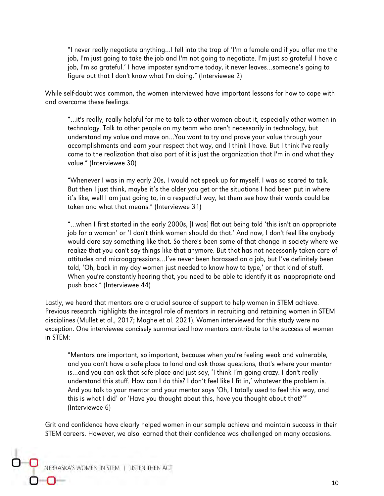"I never really negotiate anything…I fell into the trap of 'I'm a female and if you offer me the job, I'm just going to take the job and I'm not going to negotiate. I'm just so grateful I have a job, I'm so grateful.' I have imposter syndrome today, it never leaves…someone's going to figure out that I don't know what I'm doing." (Interviewee 2)

While self-doubt was common, the women interviewed have important lessons for how to cope with and overcome these feelings.

"…it's really, really helpful for me to talk to other women about it, especially other women in technology. Talk to other people on my team who aren't necessarily in technology, but understand my value and move on…You want to try and prove your value through your accomplishments and earn your respect that way, and I think I have. But I think I've really come to the realization that also part of it is just the organization that I'm in and what they value." (Interviewee 30)

"Whenever I was in my early 20s, I would not speak up for myself. I was so scared to talk. But then I just think, maybe it's the older you get or the situations I had been put in where it's like, well I am just going to, in a respectful way, let them see how their words could be taken and what that means." (Interviewee 31)

"…when I first started in the early 2000s, [I was] flat out being told 'this isn't an appropriate job for a woman' or 'I don't think women should do that.' And now, I don't feel like anybody would dare say something like that. So there's been some of that change in society where we realize that you can't say things like that anymore. But that has not necessarily taken care of attitudes and microaggressions…I've never been harassed on a job, but I've definitely been told, 'Oh, back in my day women just needed to know how to type,' or that kind of stuff. When you're constantly hearing that, you need to be able to identify it as inappropriate and push back." (Interviewee 44)

Lastly, we heard that mentors are a crucial source of support to help women in STEM achieve. Previous research highlights the integral role of mentors in recruiting and retaining women in STEM disciplines (Mullet et al., 2017; Moghe et al. 2021). Women interviewed for this study were no exception. One interviewee concisely summarized how mentors contribute to the success of women in STEM:

"Mentors are important, so important, because when you're feeling weak and vulnerable, and you don't have a safe place to land and ask those questions, that's where your mentor is…and you can ask that safe place and just say, 'I think I'm going crazy. I don't really understand this stuff. How can I do this? I don't feel like I fit in,' whatever the problem is. And you talk to your mentor and your mentor says 'Oh, I totally used to feel this way, and this is what I did' or 'Have you thought about this, have you thought about that?'" (Interviewee 6)

Grit and confidence have clearly helped women in our sample achieve and maintain success in their STEM careers. However, we also learned that their confidence was challenged on many occasions.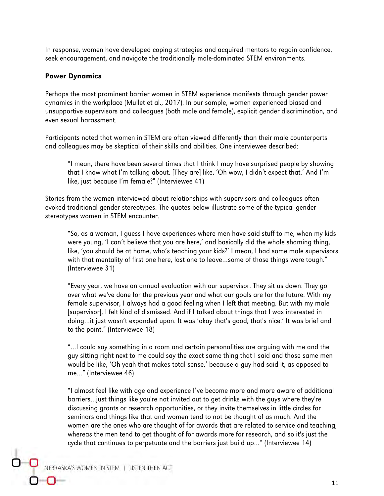In response, women have developed coping strategies and acquired mentors to regain confidence, seek encouragement, and navigate the traditionally male-dominated STEM environments.

#### Power Dynamics

Perhaps the most prominent barrier women in STEM experience manifests through gender power dynamics in the workplace (Mullet et al., 2017). In our sample, women experienced biased and unsupportive supervisors and colleagues (both male and female), explicit gender discrimination, and even sexual harassment.

Participants noted that women in STEM are often viewed differently than their male counterparts and colleagues may be skeptical of their skills and abilities. One interviewee described:

"I mean, there have been several times that I think I may have surprised people by showing that I know what I'm talking about. [They are] like, 'Oh wow, I didn't expect that.' And I'm like, just because I'm female?" (Interviewee 41)

Stories from the women interviewed about relationships with supervisors and colleagues often evoked traditional gender stereotypes. The quotes below illustrate some of the typical gender stereotypes women in STEM encounter.

"So, as a woman, I guess I have experiences where men have said stuff to me, when my kids were young, 'I can't believe that you are here,' and basically did the whole shaming thing, like, 'you should be at home, who's teaching your kids?' I mean, I had some male supervisors with that mentality of first one here, last one to leave…some of those things were tough." (Interviewee 31)

"Every year, we have an annual evaluation with our supervisor. They sit us down. They go over what we've done for the previous year and what our goals are for the future. With my female supervisor, I always had a good feeling when I left that meeting. But with my male [supervisor], I felt kind of dismissed. And if I talked about things that I was interested in doing…it just wasn't expanded upon. It was 'okay that's good, that's nice.' It was brief and to the point." (Interviewee 18)

"…I could say something in a room and certain personalities are arguing with me and the guy sitting right next to me could say the exact same thing that I said and those same men would be like, 'Oh yeah that makes total sense,' because a guy had said it, as opposed to me…" (Interviewee 46)

"I almost feel like with age and experience I've become more and more aware of additional barriers…just things like you're not invited out to get drinks with the guys where they're discussing grants or research opportunities, or they invite themselves in little circles for seminars and things like that and women tend to not be thought of as much. And the women are the ones who are thought of for awards that are related to service and teaching, whereas the men tend to get thought of for awards more for research, and so it's just the cycle that continues to perpetuate and the barriers just build up…" (Interviewee 14)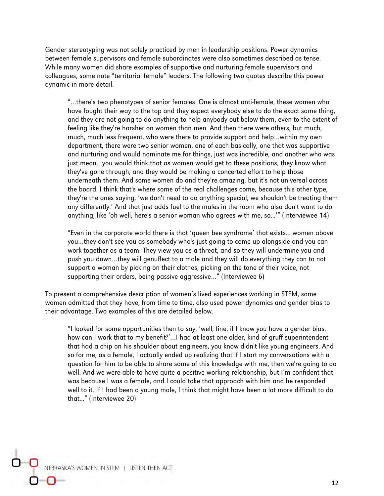Gender stereotyping was not solely practiced by men in leadership positions. Power dynamics between female supervisors and female subordinates were also sometimes described as tense. While many women did share examples of supportive and nurturing female supervisors and colleagues, some note "territorial female" leaders. The following two quotes describe this power dynamic in more detail.

"…there's two phenotypes of senior females. One is almost anti-female, these women who have fought their way to the top and they expect everybody else to do the exact same thing, and they are not going to do anything to help anybody out below them, even to the extent of feeling like they're harsher on women than men. And then there were others, but much, much, much less frequent, who were there to provide support and help…within my own department, there were two senior women, one of each basically, one that was supportive and nurturing and would nominate me for things, just was incredible, and another who was just mean…you would think that as women would get to these positions, they know what they've gone through, and they would be making a concerted effort to help those underneath them. And some women do and they're amazing, but it's not universal across the board. I think that's where some of the real challenges come, because this other type, they're the ones saying, 'we don't need to do anything special, we shouldn't be treating them any differently.' And that just adds fuel to the males in the room who also don't want to do anything, like 'oh well, here's a senior woman who agrees with me, so...'" (Interviewee 14)

"Even in the corporate world there is that 'queen bee syndrome' that exists... women above you…they don't see you as somebody who's just going to come up alongside and you can work together as a team. They view you as a threat, and so they will undermine you and push you down…they will genuflect to a male and they will do everything they can to not support a woman by picking on their clothes, picking on the tone of their voice, not supporting their orders, being passive aggressive…" (Interviewee 6)

To present a comprehensive description of women's lived experiences working in STEM, some women admitted that they have, from time to time, also used power dynamics and gender bias to their advantage. Two examples of this are detailed below.

"I looked for some opportunities then to say, 'well, fine, if I know you have a gender bias, how can I work that to my benefit?'…I had at least one older, kind of gruff superintendent that had a chip on his shoulder about engineers, you know didn't like young engineers. And so for me, as a female, I actually ended up realizing that if I start my conversations with a question for him to be able to share some of this knowledge with me, then we're going to do well. And we were able to have quite a positive working relationship, but I'm confident that was because I was a female, and I could take that approach with him and he responded well to it. If I had been a young male, I think that might have been a lot more difficult to do that..." (Interviewee 20)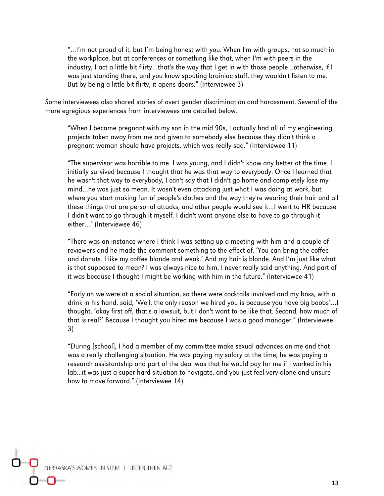"…I'm not proud of it, but I'm being honest with you. When I'm with groups, not so much in the workplace, but at conferences or something like that, when I'm with peers in the industry, I act a little bit flirty…that's the way that I get in with those people…otherwise, if I was just standing there, and you know spouting brainiac stuff, they wouldn't listen to me. But by being a little bit flirty, it opens doors." (Interviewee 3)

Some interviewees also shared stories of overt gender discrimination and harassment. Several of the more egregious experiences from interviewees are detailed below.

"When I became pregnant with my son in the mid 90s, I actually had all of my engineering projects taken away from me and given to somebody else because they didn't think a pregnant woman should have projects, which was really sad." (Interviewee 11)

"The supervisor was horrible to me. I was young, and I didn't know any better at the time. I initially survived because I thought that he was that way to everybody. Once I learned that he wasn't that way to everybody, I can't say that I didn't go home and completely lose my mind…he was just so mean. It wasn't even attacking just what I was doing at work, but where you start making fun of people's clothes and the way they're wearing their hair and all these things that are personal attacks, and other people would see it…I went to HR because I didn't want to go through it myself. I didn't want anyone else to have to go through it either…" (Interviewee 46)

"There was an instance where I think I was setting up a meeting with him and a couple of reviewers and he made the comment something to the effect of, 'You can bring the coffee and donuts. I like my coffee blonde and weak.' And my hair is blonde. And I'm just like what is that supposed to mean? I was always nice to him, I never really said anything. And part of it was because I thought I might be working with him in the future." (Interviewee 41)

"Early on we were at a social situation, so there were cocktails involved and my boss, with a drink in his hand, said, 'Well, the only reason we hired you is because you have big boobs'…I thought, 'okay first off, that's a lawsuit, but I don't want to be like that. Second, how much of that is real?' Because I thought you hired me because I was a good manager." (Interviewee 3)

"During [school], I had a member of my committee make sexual advances on me and that was a really challenging situation. He was paying my salary at the time; he was paying a research assistantship and part of the deal was that he would pay for me if I worked in his lab...it was just a super hard situation to navigate, and you just feel very alone and unsure how to move forward." (Interviewee 14)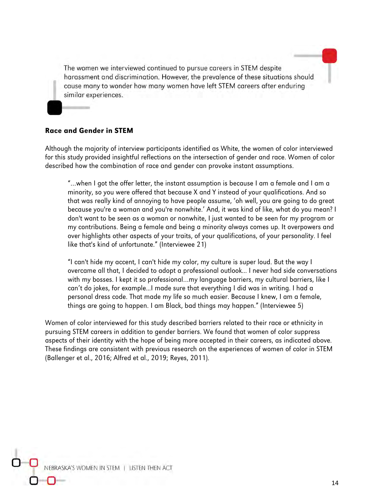The women we interviewed continued to pursue careers in STEM despite harassment and discrimination. However, the prevalence of these situations should cause many to wonder how many women have left STEM careers after enduring similar experiences.

#### Race and Gender in STEM

Although the majority of interview participants identified as White, the women of color interviewed for this study provided insightful reflections on the intersection of gender and race. Women of color described how the combination of race and gender can provoke instant assumptions.

"…when I got the offer letter, the instant assumption is because I am a female and I am a minority, so you were offered that because X and Y instead of your qualifications. And so that was really kind of annoying to have people assume, 'oh well, you are going to do great because you're a woman and you're nonwhite.' And, it was kind of like, what do you mean? I don't want to be seen as a woman or nonwhite, I just wanted to be seen for my program or my contributions. Being a female and being a minority always comes up. It overpowers and over highlights other aspects of your traits, of your qualifications, of your personality. I feel like that's kind of unfortunate." (Interviewee 21)

"I can't hide my accent, I can't hide my color, my culture is super loud. But the way I overcame all that, I decided to adopt a professional outlook... I never had side conversations with my bosses. I kept it so professional…my language barriers, my cultural barriers, like I can't do jokes, for example...I made sure that everything I did was in writing. I had a personal dress code. That made my life so much easier. Because I knew, I am a female, things are going to happen. I am Black, bad things may happen." (Interviewee 5)

Women of color interviewed for this study described barriers related to their race or ethnicity in pursuing STEM careers in addition to gender barriers. We found that women of color suppress aspects of their identity with the hope of being more accepted in their careers, as indicated above. These findings are consistent with previous research on the experiences of women of color in STEM (Ballenger et al., 2016; Alfred et al., 2019; Reyes, 2011).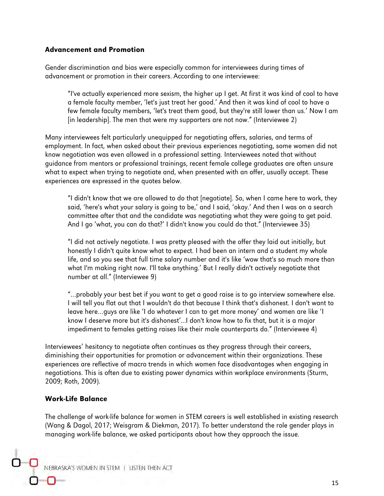#### Advancement and Promotion

Gender discrimination and bias were especially common for interviewees during times of advancement or promotion in their careers. According to one interviewee:

"I've actually experienced more sexism, the higher up I get. At first it was kind of cool to have a female faculty member, 'let's just treat her good.' And then it was kind of cool to have a few female faculty members, 'let's treat them good, but they're still lower than us.' Now I am [in leadership]. The men that were my supporters are not now." (Interviewee 2)

Many interviewees felt particularly unequipped for negotiating offers, salaries, and terms of employment. In fact, when asked about their previous experiences negotiating, some women did not know negotiation was even allowed in a professional setting. Interviewees noted that without guidance from mentors or professional trainings, recent female college graduates are often unsure what to expect when trying to negotiate and, when presented with an offer, usually accept. These experiences are expressed in the quotes below.

"I didn't know that we are allowed to do that [negotiate]. So, when I came here to work, they said, 'here's what your salary is going to be,' and I said, 'okay.' And then I was on a search committee after that and the candidate was negotiating what they were going to get paid. And I go 'what, you can do that?' I didn't know you could do that." (Interviewee 35)

"I did not actively negotiate. I was pretty pleased with the offer they laid out initially, but honestly I didn't quite know what to expect. I had been an intern and a student my whole life, and so you see that full time salary number and it's like 'wow that's so much more than what I'm making right now. I'll take anything.' But I really didn't actively negotiate that number at all." (Interviewee 9)

"…probably your best bet if you want to get a good raise is to go interview somewhere else. I will tell you flat out that I wouldn't do that because I think that's dishonest. I don't want to leave here…guys are like 'I do whatever I can to get more money' and women are like 'I know I deserve more but it's dishonest'...I don't know how to fix that, but it is a major impediment to females getting raises like their male counterparts do." (Interviewee 4)

Interviewees' hesitancy to negotiate often continues as they progress through their careers, diminishing their opportunities for promotion or advancement within their organizations. These experiences are reflective of macro trends in which women face disadvantages when engaging in negotiations. This is often due to existing power dynamics within workplace environments (Sturm, 2009; Roth, 2009).

#### Work-Life Balance

The challenge of work-life balance for women in STEM careers is well established in existing research (Wang & Dagol, 2017; Weisgram & Diekman, 2017). To better understand the role gender plays in managing work-life balance, we asked participants about how they approach the issue.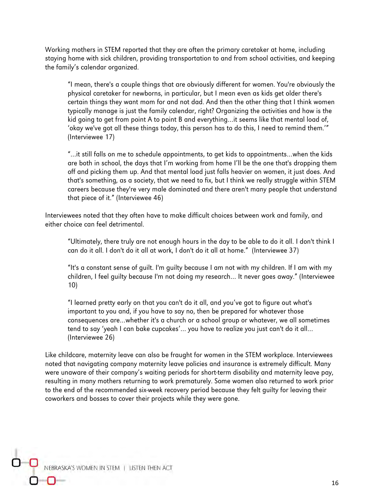Working mothers in STEM reported that they are often the primary caretaker at home, including staying home with sick children, providing transportation to and from school activities, and keeping the family's calendar organized.

"I mean, there's a couple things that are obviously different for women. You're obviously the physical caretaker for newborns, in particular, but I mean even as kids get older there's certain things they want mom for and not dad. And then the other thing that I think women typically manage is just the family calendar, right? Organizing the activities and how is the kid going to get from point A to point B and everything…it seems like that mental load of, 'okay we've got all these things today, this person has to do this, I need to remind them.'" (Interviewee 17)

"…it still falls on me to schedule appointments, to get kids to appointments…when the kids are both in school, the days that I'm working from home I'll be the one that's dropping them off and picking them up. And that mental load just falls heavier on women, it just does. And that's something, as a society, that we need to fix, but I think we really struggle within STEM careers because they're very male dominated and there aren't many people that understand that piece of it." (Interviewee 46)

Interviewees noted that they often have to make difficult choices between work and family, and either choice can feel detrimental.

"Ultimately, there truly are not enough hours in the day to be able to do it all. I don't think I can do it all. I don't do it all at work, I don't do it all at home." (Interviewee 37)

"It's a constant sense of guilt. I'm guilty because I am not with my children. If I am with my children, I feel guilty because I'm not doing my research… It never goes away." (Interviewee 10)

"I learned pretty early on that you can't do it all, and you've got to figure out what's important to you and, if you have to say no, then be prepared for whatever those consequences are…whether it's a church or a school group or whatever, we all sometimes tend to say 'yeah I can bake cupcakes'… you have to realize you just can't do it all… (Interviewee 26)

Like childcare, maternity leave can also be fraught for women in the STEM workplace. Interviewees noted that navigating company maternity leave policies and insurance is extremely difficult. Many were unaware of their company's waiting periods for short-term disability and maternity leave pay, resulting in many mothers returning to work prematurely. Some women also returned to work prior to the end of the recommended six-week recovery period because they felt guilty for leaving their coworkers and bosses to cover their projects while they were gone.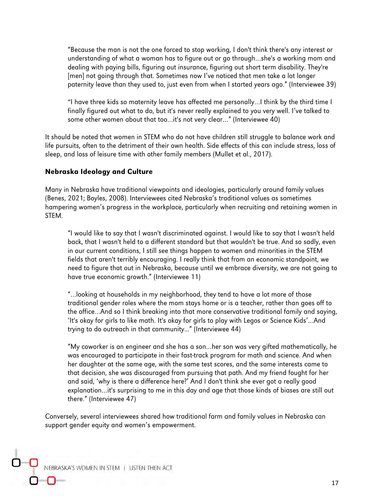"Because the man is not the one forced to stop working, I don't think there's any interest or understanding of what a woman has to figure out or go through…she's a working mom and dealing with paying bills, figuring out insurance, figuring out short term disability. They're [men] not going through that. Sometimes now I've noticed that men take a lot longer paternity leave than they used to, just even from when I started years ago." (Interviewee 39)

"I have three kids so maternity leave has affected me personally…I think by the third time I finally figured out what to do, but it's never really explained to you very well. I've talked to some other women about that too…it's not very clear…" (Interviewee 40)

It should be noted that women in STEM who do not have children still struggle to balance work and life pursuits, often to the detriment of their own health. Side effects of this can include stress, loss of sleep, and loss of leisure time with other family members (Mullet et al., 2017).

#### Nebraska Ideology and Culture

Many in Nebraska have traditional viewpoints and ideologies, particularly around family values (Benes, 2021; Boyles, 2008). Interviewees cited Nebraska's traditional values as sometimes hampering women's progress in the workplace, particularly when recruiting and retaining women in STEM.

"I would like to say that I wasn't discriminated against. I would like to say that I wasn't held back, that I wasn't held to a different standard but that wouldn't be true. And so sadly, even in our current conditions, I still see things happen to women and minorities in the STEM fields that aren't terribly encouraging. I really think that from an economic standpoint, we need to figure that out in Nebraska, because until we embrace diversity, we are not going to have true economic growth." (Interviewee 11)

"…looking at households in my neighborhood, they tend to have a lot more of those traditional gender roles where the mom stays home or is a teacher, rather than goes off to the office…And so I think breaking into that more conservative traditional family and saying, 'It's okay for girls to like math. It's okay for girls to play with Legos or Science Kids'…And trying to do outreach in that community..." (Interviewee 44)

"My coworker is an engineer and she has a son…her son was very gifted mathematically, he was encouraged to participate in their fast-track program for math and science. And when her daughter at the same age, with the same test scores, and the same interests came to that decision, she was discouraged from pursuing that path. And my friend fought for her and said, 'why is there a difference here?' And I don't think she ever got a really good explanation…it's surprising to me in this day and age that those kinds of biases are still out there." (Interviewee 47)

Conversely, several interviewees shared how traditional farm and family values in Nebraska can support gender equity and women's empowerment.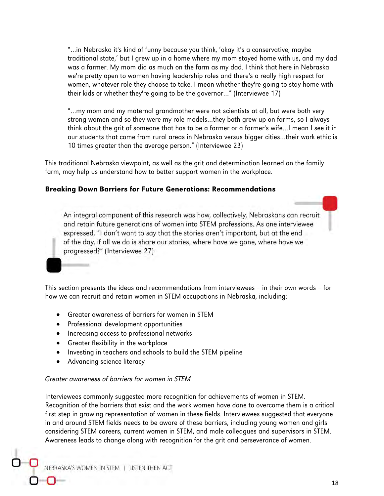"…in Nebraska it's kind of funny because you think, 'okay it's a conservative, maybe traditional state,' but I grew up in a home where my mom stayed home with us, and my dad was a farmer. My mom did as much on the farm as my dad. I think that here in Nebraska we're pretty open to women having leadership roles and there's a really high respect for women, whatever role they choose to take. I mean whether they're going to stay home with their kids or whether they're going to be the governor…" (Interviewee 17)

"…my mom and my maternal grandmother were not scientists at all, but were both very strong women and so they were my role models…they both grew up on farms, so I always think about the grit of someone that has to be a farmer or a farmer's wife…I mean I see it in our students that come from rural areas in Nebraska versus bigger cities…their work ethic is 10 times greater than the average person." (Interviewee 23)

This traditional Nebraska viewpoint, as well as the grit and determination learned on the family farm, may help us understand how to better support women in the workplace.

#### Breaking Down Barriers for Future Generations: Recommendations

An integral component of this research was how, collectively, Nebraskans can recruit and retain future generations of women into STEM professions. As one interviewee expressed, "I don't want to say that the stories aren't important, but at the end of the day, if all we do is share our stories, where have we gone, where have we progressed?" (Interviewee 27)

This section presents the ideas and recommendations from interviewees – in their own words – for how we can recruit and retain women in STEM occupations in Nebraska, including:

- Greater awareness of barriers for women in STEM
- Professional development opportunities
- Increasing access to professional networks
- Greater flexibility in the workplace
- Investing in teachers and schools to build the STEM pipeline
- Advancing science literacy

#### Greater awareness of barriers for women in STEM

Interviewees commonly suggested more recognition for achievements of women in STEM. Recognition of the barriers that exist and the work women have done to overcome them is a critical first step in growing representation of women in these fields. Interviewees suggested that everyone in and around STEM fields needs to be aware of these barriers, including young women and girls considering STEM careers, current women in STEM, and male colleagues and supervisors in STEM. Awareness leads to change along with recognition for the grit and perseverance of women.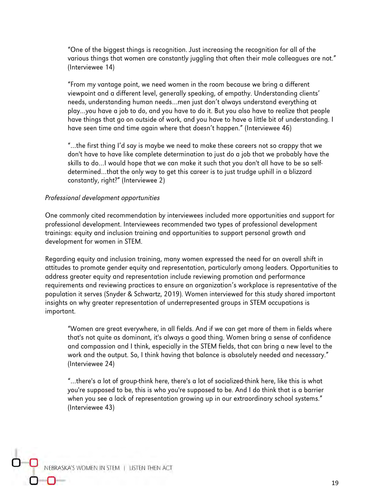"One of the biggest things is recognition. Just increasing the recognition for all of the various things that women are constantly juggling that often their male colleagues are not." (Interviewee 14)

"From my vantage point, we need women in the room because we bring a different viewpoint and a different level, generally speaking, of empathy. Understanding clients' needs, understanding human needs…men just don't always understand everything at play…you have a job to do, and you have to do it. But you also have to realize that people have things that go on outside of work, and you have to have a little bit of understanding. I have seen time and time again where that doesn't happen." (Interviewee 46)

"…the first thing I'd say is maybe we need to make these careers not so crappy that we don't have to have like complete determination to just do a job that we probably have the skills to do…I would hope that we can make it such that you don't all have to be so selfdetermined…that the only way to get this career is to just trudge uphill in a blizzard constantly, right?" (Interviewee 2)

#### Professional development opportunities

One commonly cited recommendation by interviewees included more opportunities and support for professional development. Interviewees recommended two types of professional development trainings: equity and inclusion training and opportunities to support personal growth and development for women in STEM.

Regarding equity and inclusion training, many women expressed the need for an overall shift in attitudes to promote gender equity and representation, particularly among leaders. Opportunities to address greater equity and representation include reviewing promotion and performance requirements and reviewing practices to ensure an organization's workplace is representative of the population it serves (Snyder & Schwartz, 2019). Women interviewed for this study shared important insights on why greater representation of underrepresented groups in STEM occupations is important.

"Women are great everywhere, in all fields. And if we can get more of them in fields where that's not quite as dominant, it's always a good thing. Women bring a sense of confidence and compassion and I think, especially in the STEM fields, that can bring a new level to the work and the output. So, I think having that balance is absolutely needed and necessary." (Interviewee 24)

"…there's a lot of group-think here, there's a lot of socialized-think here, like this is what you're supposed to be, this is who you're supposed to be. And I do think that is a barrier when you see a lack of representation growing up in our extraordinary school systems." (Interviewee 43)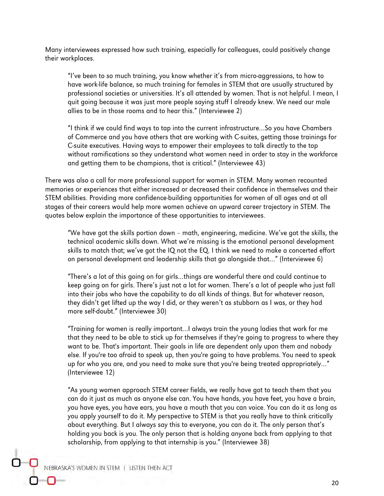Many interviewees expressed how such training, especially for colleagues, could positively change their workplaces.

"I've been to so much training, you know whether it's from micro-aggressions, to how to have work-life balance, so much training for females in STEM that are usually structured by professional societies or universities. It's all attended by women. That is not helpful. I mean, I quit going because it was just more people saying stuff I already knew. We need our male allies to be in those rooms and to hear this." (Interviewee 2)

"I think if we could find ways to tap into the current infrastructure…So you have Chambers of Commerce and you have others that are working with C-suites, getting those trainings for C-suite executives. Having ways to empower their employees to talk directly to the top without ramifications so they understand what women need in order to stay in the workforce and getting them to be champions, that is critical." (Interviewee 43)

There was also a call for more professional support for women in STEM. Many women recounted memories or experiences that either increased or decreased their confidence in themselves and their STEM abilities. Providing more confidence-building opportunities for women of all ages and at all stages of their careers would help more women achieve an upward career trajectory in STEM. The quotes below explain the importance of these opportunities to interviewees.

"We have got the skills portion down – math, engineering, medicine. We've got the skills, the technical academic skills down. What we're missing is the emotional personal development skills to match that; we've got the IQ not the EQ. I think we need to make a concerted effort on personal development and leadership skills that go alongside that…" (Interviewee 6)

"There's a lot of this going on for girls…things are wonderful there and could continue to keep going on for girls. There's just not a lot for women. There's a lot of people who just fall into their jobs who have the capability to do all kinds of things. But for whatever reason, they didn't get lifted up the way I did, or they weren't as stubborn as I was, or they had more self-doubt." (Interviewee 30)

"Training for women is really important…I always train the young ladies that work for me that they need to be able to stick up for themselves if they're going to progress to where they want to be. That's important. Their goals in life are dependent only upon them and nobody else. If you're too afraid to speak up, then you're going to have problems. You need to speak up for who you are, and you need to make sure that you're being treated appropriately…" (Interviewee 12)

"As young women approach STEM career fields, we really have got to teach them that you can do it just as much as anyone else can. You have hands, you have feet, you have a brain, you have eyes, you have ears, you have a mouth that you can voice. You can do it as long as you apply yourself to do it. My perspective to STEM is that you really have to think critically about everything. But I always say this to everyone, you can do it. The only person that's holding you back is you. The only person that is holding anyone back from applying to that scholarship, from applying to that internship is you." (Interviewee 38)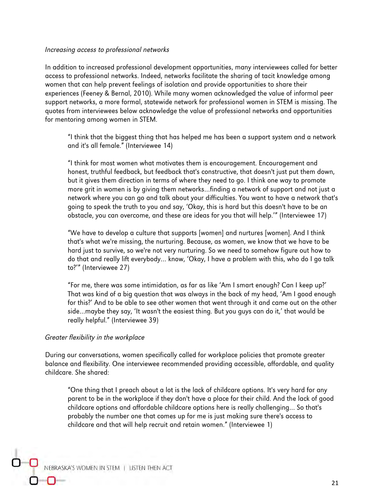#### Increasing access to professional networks

In addition to increased professional development opportunities, many interviewees called for better access to professional networks. Indeed, networks facilitate the sharing of tacit knowledge among women that can help prevent feelings of isolation and provide opportunities to share their experiences (Feeney & Bernal, 2010). While many women acknowledged the value of informal peer support networks, a more formal, statewide network for professional women in STEM is missing. The quotes from interviewees below acknowledge the value of professional networks and opportunities for mentoring among women in STEM.

"I think that the biggest thing that has helped me has been a support system and a network and it's all female." (Interviewee 14)

"I think for most women what motivates them is encouragement. Encouragement and honest, truthful feedback, but feedback that's constructive, that doesn't just put them down, but it gives them direction in terms of where they need to go. I think one way to promote more grit in women is by giving them networks…finding a network of support and not just a network where you can go and talk about your difficulties. You want to have a network that's going to speak the truth to you and say, 'Okay, this is hard but this doesn't have to be an obstacle, you can overcome, and these are ideas for you that will help.'" (Interviewee 17)

"We have to develop a culture that supports [women] and nurtures [women]. And I think that's what we're missing, the nurturing. Because, as women, we know that we have to be hard just to survive, so we're not very nurturing. So we need to somehow figure out how to do that and really lift everybody… know, 'Okay, I have a problem with this, who do I go talk to?'" (Interviewee 27)

"For me, there was some intimidation, as far as like 'Am I smart enough? Can I keep up?' That was kind of a big question that was always in the back of my head, 'Am I good enough for this?' And to be able to see other women that went through it and came out on the other side…maybe they say, 'It wasn't the easiest thing. But you guys can do it,' that would be really helpful." (Interviewee 39)

#### Greater flexibility in the workplace

During our conversations, women specifically called for workplace policies that promote greater balance and flexibility. One interviewee recommended providing accessible, affordable, and quality childcare. She shared:

"One thing that I preach about a lot is the lack of childcare options. It's very hard for any parent to be in the workplace if they don't have a place for their child. And the lack of good childcare options and affordable childcare options here is really challenging… So that's probably the number one that comes up for me is just making sure there's access to childcare and that will help recruit and retain women." (Interviewee 1)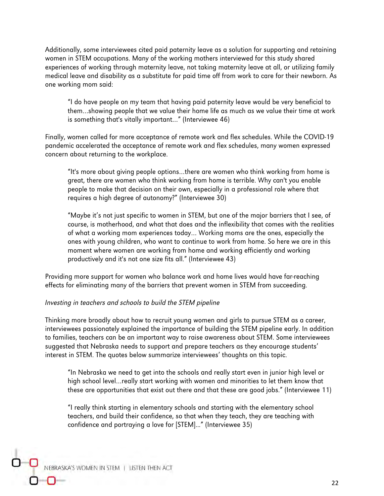Additionally, some interviewees cited paid paternity leave as a solution for supporting and retaining women in STEM occupations. Many of the working mothers interviewed for this study shared experiences of working through maternity leave, not taking maternity leave at all, or utilizing family medical leave and disability as a substitute for paid time off from work to care for their newborn. As one working mom said:

"I do have people on my team that having paid paternity leave would be very beneficial to them…showing people that we value their home life as much as we value their time at work is something that's vitally important…" (Interviewee 46)

Finally, women called for more acceptance of remote work and flex schedules. While the COVID-19 pandemic accelerated the acceptance of remote work and flex schedules, many women expressed concern about returning to the workplace.

"It's more about giving people options…there are women who think working from home is great, there are women who think working from home is terrible. Why can't you enable people to make that decision on their own, especially in a professional role where that requires a high degree of autonomy?" (Interviewee 30)

"Maybe it's not just specific to women in STEM, but one of the major barriers that I see, of course, is motherhood, and what that does and the inflexibility that comes with the realities of what a working mom experiences today… Working moms are the ones, especially the ones with young children, who want to continue to work from home. So here we are in this moment where women are working from home and working efficiently and working productively and it's not one size fits all." (Interviewee 43)

Providing more support for women who balance work and home lives would have far-reaching effects for eliminating many of the barriers that prevent women in STEM from succeeding.

#### Investing in teachers and schools to build the STEM pipeline

Thinking more broadly about how to recruit young women and girls to pursue STEM as a career, interviewees passionately explained the importance of building the STEM pipeline early. In addition to families, teachers can be an important way to raise awareness about STEM. Some interviewees suggested that Nebraska needs to support and prepare teachers as they encourage students' interest in STEM. The quotes below summarize interviewees' thoughts on this topic.

"In Nebraska we need to get into the schools and really start even in junior high level or high school level…really start working with women and minorities to let them know that these are opportunities that exist out there and that these are good jobs." (Interviewee 11)

"I really think starting in elementary schools and starting with the elementary school teachers, and build their confidence, so that when they teach, they are teaching with confidence and portraying a love for [STEM]..." (Interviewee 35)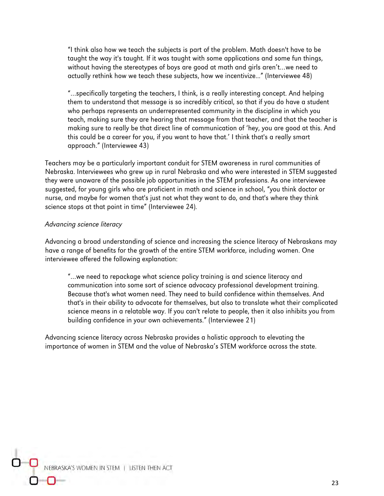"I think also how we teach the subjects is part of the problem. Math doesn't have to be taught the way it's taught. If it was taught with some applications and some fun things, without having the stereotypes of boys are good at math and girls aren't…we need to actually rethink how we teach these subjects, how we incentivize..." (Interviewee 48)

"…specifically targeting the teachers, I think, is a really interesting concept. And helping them to understand that message is so incredibly critical, so that if you do have a student who perhaps represents an underrepresented community in the discipline in which you teach, making sure they are hearing that message from that teacher, and that the teacher is making sure to really be that direct line of communication of 'hey, you are good at this. And this could be a career for you, if you want to have that.' I think that's a really smart approach." (Interviewee 43)

Teachers may be a particularly important conduit for STEM awareness in rural communities of Nebraska. Interviewees who grew up in rural Nebraska and who were interested in STEM suggested they were unaware of the possible job opportunities in the STEM professions. As one interviewee suggested, for young girls who are proficient in math and science in school, "you think doctor or nurse, and maybe for women that's just not what they want to do, and that's where they think science stops at that point in time" (Interviewee 24).

#### Advancing science literacy

Advancing a broad understanding of science and increasing the science literacy of Nebraskans may have a range of benefits for the growth of the entire STEM workforce, including women. One interviewee offered the following explanation:

"…we need to repackage what science policy training is and science literacy and communication into some sort of science advocacy professional development training. Because that's what women need. They need to build confidence within themselves. And that's in their ability to advocate for themselves, but also to translate what their complicated science means in a relatable way. If you can't relate to people, then it also inhibits you from building confidence in your own achievements." (Interviewee 21)

Advancing science literacy across Nebraska provides a holistic approach to elevating the importance of women in STEM and the value of Nebraska's STEM workforce across the state.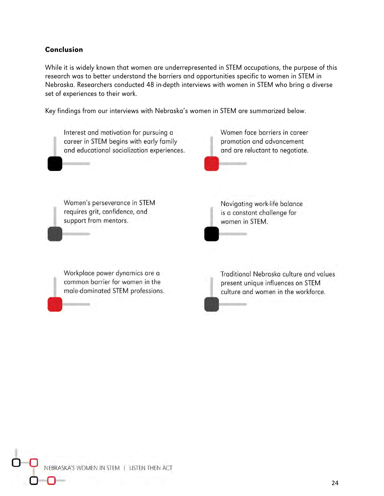#### Conclusion

While it is widely known that women are underrepresented in STEM occupations, the purpose of this research was to better understand the barriers and opportunities specific to women in STEM in Nebraska. Researchers conducted 48 in-depth interviews with women in STEM who bring a diverse set of experiences to their work.

Key findings from our interviews with Nebraska's women in STEM are summarized below.

Women face barriers in career Interest and motivation for pursuing a career in STEM begins with early family promotion and advancement and educational socialization experiences. and are reluctant to negotiate. Women's perseverance in STEM Navigating work-life balance requires grit, confidence, and is a constant challenge for support from mentors. women in STEM. Workplace power dynamics are a Traditional Nebraska culture and values common barrier for women in the present unique influences on STEM male-dominated STEM professions. culture and women in the workforce.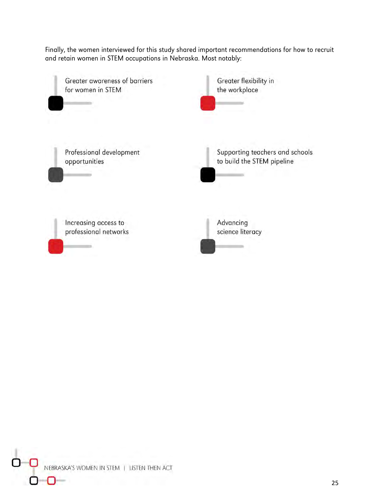Finally, the women interviewed for this study shared important recommendations for how to recruit and retain women in STEM occupations in Nebraska. Most notably:

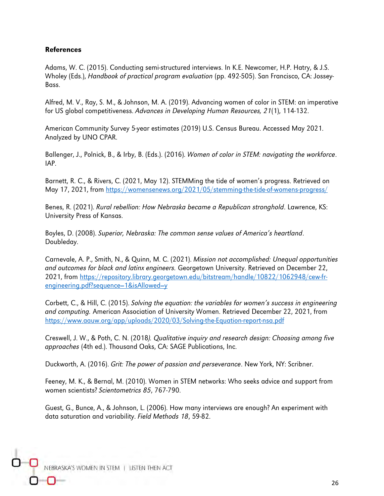#### References

Adams, W. C. (2015). Conducting semi-structured interviews. In K.E. Newcomer, H.P. Hatry, & J.S. Wholey (Eds.), Handbook of practical program evaluation (pp. 492-505). San Francisco, CA: Jossey-Bass.

Alfred, M. V., Ray, S. M., & Johnson, M. A. (2019). Advancing women of color in STEM: an imperative for US global competitiveness. Advances in Developing Human Resources, 21(1), 114-132.

American Community Survey 5-year estimates (2019) U.S. Census Bureau. Accessed May 2021. Analyzed by UNO CPAR.

Ballenger, J., Polnick, B., & Irby, B. (Eds.). (2016). Women of color in STEM: navigating the workforce. IAP.

Barnett, R. C., & Rivers, C. (2021, May 12). STEMMing the tide of women's progress. Retrieved on May 17, 2021, from<https://womensenews.org/2021/05/stemming-the-tide-of-womens-progress/>

Benes, R. (2021). Rural rebellion: How Nebraska became a Republican stronghold. Lawrence, KS: University Press of Kansas.

Boyles, D. (2008). Superior, Nebraska: The common sense values of America's heartland. Doubleday.

Carnevale, A. P., Smith, N., & Quinn, M. C. (2021). Mission not accomplished: Unequal opportunities and outcomes for black and latinx engineers. Georgetown University. Retrieved on December 22, 2021, from [https://repository.library.georgetown.edu/bitstream/handle/10822/1062948/cew-fr](https://repository.library.georgetown.edu/bitstream/handle/10822/1062948/cew-fr-engineering.pdf?sequence=1&isAllowed=y)[engineering.pdf?sequence=1&isAllowed=y](https://repository.library.georgetown.edu/bitstream/handle/10822/1062948/cew-fr-engineering.pdf?sequence=1&isAllowed=y)

Corbett, C., & Hill, C. (2015). Solving the equation: the variables for women's success in engineering and computing. American Association of University Women. Retrieved December 22, 2021, from <https://www.aauw.org/app/uploads/2020/03/Solving-the-Equation-report-nsa.pdf>

Creswell, J. W., & Poth, C. N. (2018). Qualitative inquiry and research design: Choosing among five approaches (4th ed.). Thousand Oaks, CA: SAGE Publications, Inc.

Duckworth, A. (2016). Grit: The power of passion and perseverance. New York, NY: Scribner.

Feeney, M. K., & Bernal, M. (2010). Women in STEM networks: Who seeks advice and support from women scientists? Scientometrics 85, 767-790.

Guest, G., Bunce, A., & Johnson, L. (2006). How many interviews are enough? An experiment with data saturation and variability. Field Methods 18, 59-82.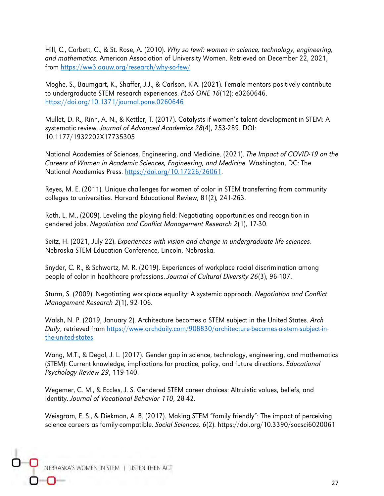Hill, C., Corbett, C., & St. Rose, A. (2010). Why so few?: women in science, technology, engineering, and mathematics. American Association of University Women. Retrieved on December 22, 2021, from<https://ww3.aauw.org/research/why-so-few/>

Moghe, S., Baumgart, K., Shaffer, J.J., & Carlson, K.A. (2021). Female mentors positively contribute to undergraduate STEM research experiences. PLoS ONE 16(12): e0260646. <https://doi.org/10.1371/journal.pone.0260646>

Mullet, D. R., Rinn, A. N., & Kettler, T. (2017). Catalysts if women's talent development in STEM: A systematic review. Journal of Advanced Academics 28(4), 253-289. DOI: 10.1177/1932202X17735305

National Academies of Sciences, Engineering, and Medicine. (2021). The Impact of COVID-19 on the Careers of Women in Academic Sciences, Engineering, and Medicine. Washington, DC: The National Academies Press. [https://doi.org/10.17226/26061.](https://doi.org/10.17226/26061)

Reyes, M. E. (2011). Unique challenges for women of color in STEM transferring from community colleges to universities. Harvard Educational Review, 81(2), 241-263.

Roth, L. M., (2009). Leveling the playing field: Negotiating opportunities and recognition in gendered jobs. Negotiation and Conflict Management Research 2(1), 17-30.

Seitz, H. (2021, July 22). Experiences with vision and change in undergraduate life sciences. Nebraska STEM Education Conference, Lincoln, Nebraska.

Snyder, C. R., & Schwartz, M. R. (2019). Experiences of workplace racial discrimination among people of color in healthcare professions. Journal of Cultural Diversity 26(3), 96-107.

Sturm, S. (2009). Negotiating workplace equality: A systemic approach. Negotiation and Conflict Management Research 2(1), 92-106.

Walsh, N. P. (2019, January 2). Architecture becomes a STEM subject in the United States. Arch Daily, retrieved from [https://www.archdaily.com/908830/architecture-becomes-a-stem-subject-in](https://www.archdaily.com/908830/architecture-becomes-a-stem-subject-in-the-united-states)[the-united-states](https://www.archdaily.com/908830/architecture-becomes-a-stem-subject-in-the-united-states)

Wang, M.T., & Degol, J. L. (2017). Gender gap in science, technology, engineering, and mathematics (STEM): Current knowledge, implications for practice, policy, and future directions. Educational Psychology Review 29, 119-140.

Wegemer, C. M., & Eccles, J. S. Gendered STEM career choices: Altruistic values, beliefs, and identity. Journal of Vocational Behavior 110, 28-42.

Weisgram, E. S., & Diekman, A. B. (2017). Making STEM "family friendly": The impact of perceiving science careers as family-compatible. Social Sciences, 6(2). https://doi.org/10.3390/socsci6020061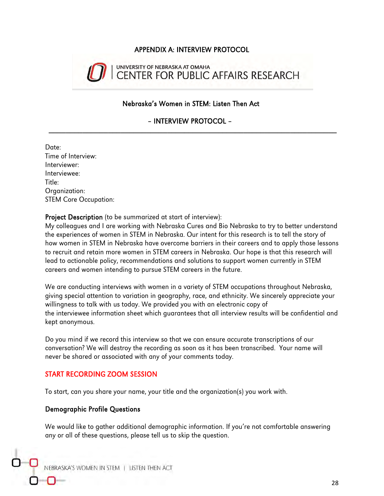#### APPENDIX A: INTERVIEW PROTOCOL



#### Nebraska's Women in STEM: Listen Then Act

– INTERVIEW PROTOCOL –  $\overline{\phantom{a}}$  ,  $\overline{\phantom{a}}$  ,  $\overline{\phantom{a}}$  ,  $\overline{\phantom{a}}$  ,  $\overline{\phantom{a}}$  ,  $\overline{\phantom{a}}$  ,  $\overline{\phantom{a}}$  ,  $\overline{\phantom{a}}$  ,  $\overline{\phantom{a}}$  ,  $\overline{\phantom{a}}$  ,  $\overline{\phantom{a}}$  ,  $\overline{\phantom{a}}$  ,  $\overline{\phantom{a}}$  ,  $\overline{\phantom{a}}$  ,  $\overline{\phantom{a}}$  ,  $\overline{\phantom{a}}$ 

Date: Time of Interview: Interviewer: Interviewee: Title: Organization: STEM Core Occupation:

Project Description (to be summarized at start of interview):

My colleagues and I are working with Nebraska Cures and Bio Nebraska to try to better understand the experiences of women in STEM in Nebraska. Our intent for this research is to tell the story of how women in STEM in Nebraska have overcome barriers in their careers and to apply those lessons to recruit and retain more women in STEM careers in Nebraska. Our hope is that this research will lead to actionable policy, recommendations and solutions to support women currently in STEM careers and women intending to pursue STEM careers in the future.

We are conducting interviews with women in a variety of STEM occupations throughout Nebraska, giving special attention to variation in geography, race, and ethnicity. We sincerely appreciate your willingness to talk with us today. We provided you with an electronic copy of the interviewee information sheet which guarantees that all interview results will be confidential and kept anonymous.

Do you mind if we record this interview so that we can ensure accurate transcriptions of our conversation? We will destroy the recording as soon as it has been transcribed. Your name will never be shared or associated with any of your comments today.

#### START RECORDING ZOOM SESSION

To start, can you share your name, your title and the organization(s) you work with.

#### Demographic Profile Questions

We would like to gather additional demographic information. If you're not comfortable answering any or all of these questions, please tell us to skip the question.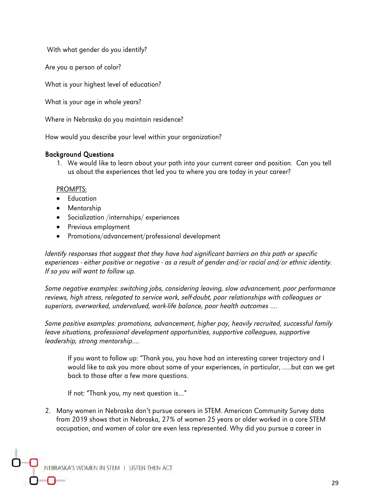With what gender do you identify?

Are you a person of color?

What is your highest level of education?

What is your age in whole years?

Where in Nebraska do you maintain residence?

How would you describe your level within your organization?

#### Background Questions

1. We would like to learn about your path into your current career and position. Can you tell us about the experiences that led you to where you are today in your career?

#### PROMPTS:

- Education
- Mentorship
- Socialization /internships/ experiences
- Previous employment
- Promotions/advancement/professional development

Identify responses that suggest that they have had significant barriers on this path or specific experiences - either positive or negative - as a result of gender and/or racial and/or ethnic identity. If so you will want to follow up.

Some negative examples: switching jobs, considering leaving, slow advancement, poor performance reviews, high stress, relegated to service work, self-doubt, poor relationships with colleagues or superiors, overworked, undervalued, work-life balance, poor health outcomes ….

Some positive examples: promotions, advancement, higher pay, heavily recruited, successful family leave situations, professional development opportunities, supportive colleagues, supportive leadership, strong mentorship….

If you want to follow up: "Thank you, you have had an interesting career trajectory and I would like to ask you more about some of your experiences, in particular, …..but can we get back to those after a few more questions.

If not: "Thank you, my next question is…"

2. Many women in Nebraska don't pursue careers in STEM. American Community Survey data from 2019 shows that in Nebraska, 27% of women 25 years or older worked in a core STEM occupation, and women of color are even less represented. Why did you pursue a career in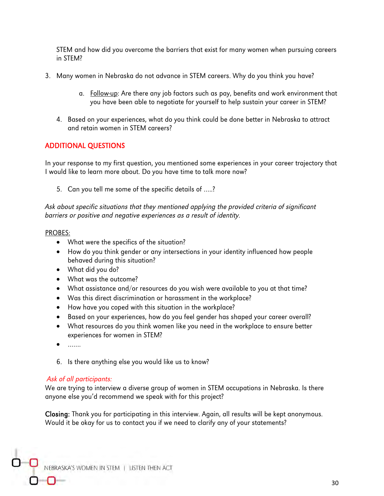STEM and how did you overcome the barriers that exist for many women when pursuing careers in STEM?

- 3. Many women in Nebraska do not advance in STEM careers. Why do you think you have?
	- a. Follow-up: Are there any job factors such as pay, benefits and work environment that you have been able to negotiate for yourself to help sustain your career in STEM?
	- 4. Based on your experiences, what do you think could be done better in Nebraska to attract and retain women in STEM careers?

#### ADDITIONAL QUESTIONS

In your response to my first question, you mentioned some experiences in your career trajectory that I would like to learn more about. Do you have time to talk more now?

5. Can you tell me some of the specific details of …..?

Ask about specific situations that they mentioned applying the provided criteria of significant barriers or positive and negative experiences as a result of identity.

#### PROBES:

- What were the specifics of the situation?
- How do you think gender or any intersections in your identity influenced how people behaved during this situation?
- What did you do?
- What was the outcome?
- What assistance and/or resources do you wish were available to you at that time?
- Was this direct discrimination or harassment in the workplace?
- How have you coped with this situation in the workplace?
- Based on your experiences, how do you feel gender has shaped your career overall?
- What resources do you think women like you need in the workplace to ensure better experiences for women in STEM?
- $\ldots$
- 6. Is there anything else you would like us to know?

#### Ask of all participants:

We are trying to interview a diverse group of women in STEM occupations in Nebraska. Is there anyone else you'd recommend we speak with for this project?

Closing: Thank you for participating in this interview. Again, all results will be kept anonymous. Would it be okay for us to contact you if we need to clarify any of your statements?